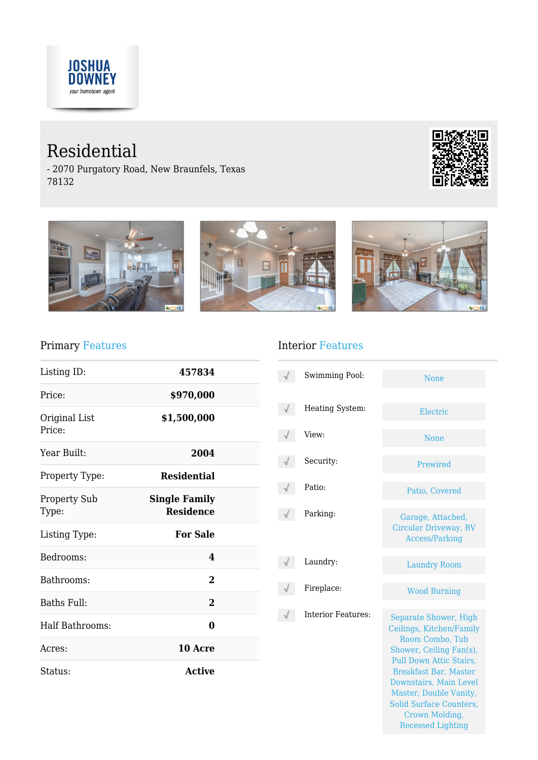

# Residential

- 2070 Purgatory Road, New Braunfels, Texas 78132





#### Primary Features

| Listing ID:                  | 457834                                   |  |
|------------------------------|------------------------------------------|--|
| Price:                       | \$970,000                                |  |
| Original List<br>Price:      | \$1,500,000                              |  |
| Year Built:                  | 2004                                     |  |
| Property Type:               | <b>Residential</b>                       |  |
| <b>Property Sub</b><br>Type: | <b>Single Family</b><br><b>Residence</b> |  |
| Listing Type:                | <b>For Sale</b>                          |  |
| Bedrooms:                    | 4                                        |  |
| Bathrooms:                   | $\overline{2}$                           |  |
| <b>Baths Full:</b>           | $\overline{2}$                           |  |
| Half Bathrooms:              | 0                                        |  |
| Acres:                       | 10 Acre                                  |  |
| Status:                      | <b>Active</b>                            |  |

### Interior Features

| Swimming Pool:            | None                                                                                                                                                                                                                                                                                           |
|---------------------------|------------------------------------------------------------------------------------------------------------------------------------------------------------------------------------------------------------------------------------------------------------------------------------------------|
| Heating System:           | Electric                                                                                                                                                                                                                                                                                       |
| View:                     | <b>None</b>                                                                                                                                                                                                                                                                                    |
| Security:                 | Prewired                                                                                                                                                                                                                                                                                       |
| Patio:                    | Patio, Covered                                                                                                                                                                                                                                                                                 |
| Parking:                  | Garage, Attached,<br>Circular Driveway, RV<br><b>Access/Parking</b>                                                                                                                                                                                                                            |
| Laundry:                  | <b>Laundry Room</b>                                                                                                                                                                                                                                                                            |
| Fireplace:                | <b>Wood Burning</b>                                                                                                                                                                                                                                                                            |
| <b>Interior Features:</b> | Separate Shower, High<br>Ceilings, Kitchen/Family<br>Room Combo, Tub<br>Shower, Ceiling Fan(s),<br>Pull Down Attic Stairs,<br><b>Breakfast Bar, Master</b><br>Downstairs, Main Level<br>Master, Double Vanity,<br><b>Solid Surface Counters,</b><br>Crown Molding,<br><b>Recessed Lighting</b> |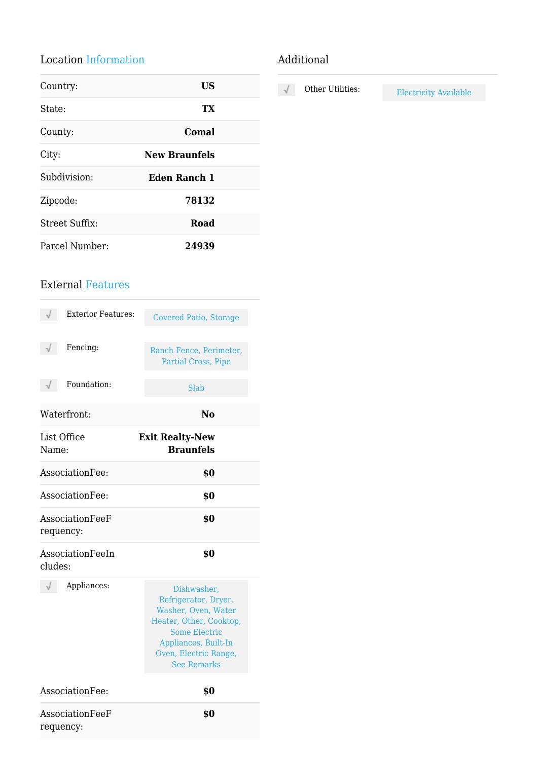## Location Information

| Country:              | US                   |  |
|-----------------------|----------------------|--|
| State:                | TX                   |  |
| County:               | Comal                |  |
| City:                 | <b>New Braunfels</b> |  |
| Subdivision:          | <b>Eden Ranch 1</b>  |  |
| Zipcode:              | 78132                |  |
| <b>Street Suffix:</b> | <b>Road</b>          |  |
| Parcel Number:        | 24939                |  |

#### External Features

| <b>Exterior Features:</b>    | <b>Covered Patio, Storage</b>                                                                                                                                                        |
|------------------------------|--------------------------------------------------------------------------------------------------------------------------------------------------------------------------------------|
| Fencing:                     | Ranch Fence, Perimeter,<br>Partial Cross, Pipe                                                                                                                                       |
| Foundation:                  | Slab                                                                                                                                                                                 |
| Waterfront:                  | No                                                                                                                                                                                   |
| List Office<br>Name:         | <b>Exit Realty-New</b><br><b>Braunfels</b>                                                                                                                                           |
| AssociationFee:              | \$0                                                                                                                                                                                  |
| AssociationFee:              | \$0                                                                                                                                                                                  |
| AssociationFeeF<br>requency: | \$0                                                                                                                                                                                  |
| AssociationFeeIn<br>cludes:  | \$0                                                                                                                                                                                  |
| Appliances:                  | Dishwasher,<br>Refrigerator, Dryer,<br>Washer, Oven, Water<br>Heater, Other, Cooktop,<br><b>Some Electric</b><br>Appliances, Built-In<br>Oven, Electric Range,<br><b>See Remarks</b> |
| AssociationFee:              | \$0                                                                                                                                                                                  |
| AssociationFeeF<br>requency: | \$0                                                                                                                                                                                  |

## Additional

 $\sqrt{\phantom{a}}$  Other Utilities: Electricity Available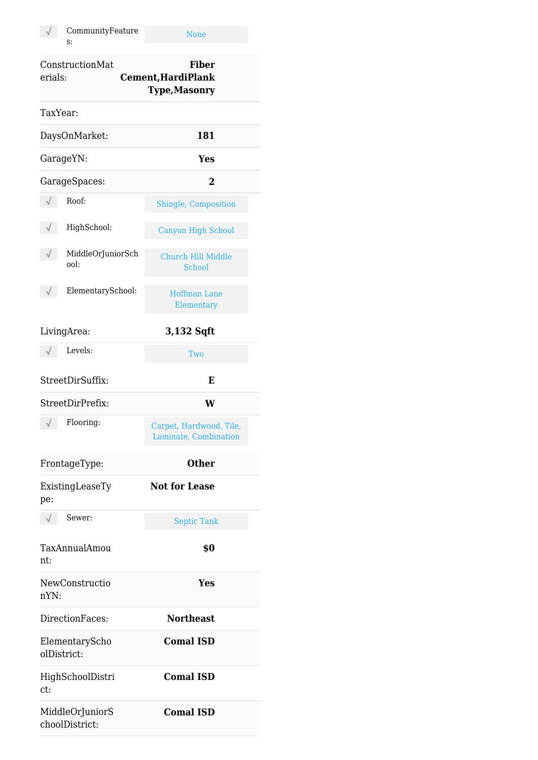| $\sqrt{}$ | CommunityFeature<br>S: | None |
|-----------|------------------------|------|
|           |                        |      |

| ConstructionMat<br>erials:        | <b>Fiber</b><br><b>Cement, HardiPlank</b><br><b>Type, Masonry</b> |
|-----------------------------------|-------------------------------------------------------------------|
| TaxYear:                          |                                                                   |
| DaysOnMarket:                     | 181                                                               |
| GarageYN:                         | Yes                                                               |
| GarageSpaces:                     | 2                                                                 |
| Roof:                             | Shingle, Composition                                              |
| HighSchool:                       | <b>Canyon High School</b>                                         |
| MiddleOrJuniorSch<br>$00!$ :      | <b>Church Hill Middle</b><br>School                               |
| ElementarySchool:                 | <b>Hoffman Lane</b><br>Elementary                                 |
| LivingArea:                       | 3,132 Sqft                                                        |
| Levels:                           | Two                                                               |
| StreetDirSuffix:                  | E                                                                 |
| StreetDirPrefix:                  | W                                                                 |
| Flooring:                         | Carpet, Hardwood, Tile,<br>Laminate, Combination                  |
| FrontageType:                     | <b>Other</b>                                                      |
| ExistingLeaseTy<br>pe:            | <b>Not for Lease</b>                                              |
| Sewer:                            | <b>Septic Tank</b>                                                |
| TaxAnnualAmou<br>nt:              | \$0                                                               |
| NewConstructio<br>nYN:            | <b>Yes</b>                                                        |
| DirectionFaces:                   | <b>Northeast</b>                                                  |
| ElementaryScho<br>olDistrict:     | <b>Comal ISD</b>                                                  |
| HighSchoolDistri<br>ct:           | <b>Comal ISD</b>                                                  |
| MiddleOrJuniorS<br>choolDistrict: | <b>Comal ISD</b>                                                  |